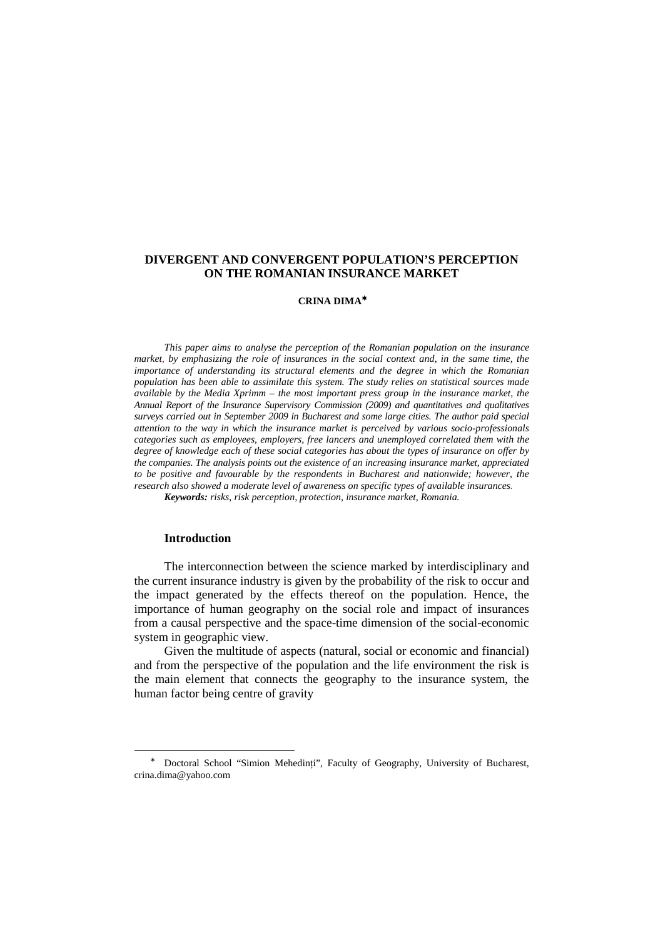## **DIVERGENT AND CONVERGENT POPULATION'S PERCEPTION ON THE ROMANIAN INSURANCE MARKET**

### **CRINA DIMA**<sup>∗</sup>

*This paper aims to analyse the perception of the Romanian population on the insurance market, by emphasizing the role of insurances in the social context and, in the same time, the importance of understanding its structural elements and the degree in which the Romanian population has been able to assimilate this system. The study relies on statistical sources made available by the Media Xprimm – the most important press group in the insurance market, the Annual Report of the Insurance Supervisory Commission (2009) and quantitatives and qualitatives surveys carried out in September 2009 in Bucharest and some large cities. The author paid special attention to the way in which the insurance market is perceived by various socio-professionals categories such as employees, employers, free lancers and unemployed correlated them with the degree of knowledge each of these social categories has about the types of insurance on offer by the companies. The analysis points out the existence of an increasing insurance market, appreciated to be positive and favourable by the respondents in Bucharest and nationwide; however, the research also showed a moderate level of awareness on specific types of available insurances. Keywords: risks, risk perception, protection, insurance market, Romania.* 

## **Introduction**

 $\overline{a}$ 

The interconnection between the science marked by interdisciplinary and the current insurance industry is given by the probability of the risk to occur and the impact generated by the effects thereof on the population. Hence, the importance of human geography on the social role and impact of insurances from a causal perspective and the space-time dimension of the social-economic system in geographic view.

Given the multitude of aspects (natural, social or economic and financial) and from the perspective of the population and the life environment the risk is the main element that connects the geography to the insurance system, the human factor being centre of gravity

<sup>∗</sup> Doctoral School "Simion Mehedinţi", Faculty of Geography, University of Bucharest, crina.dima@yahoo.com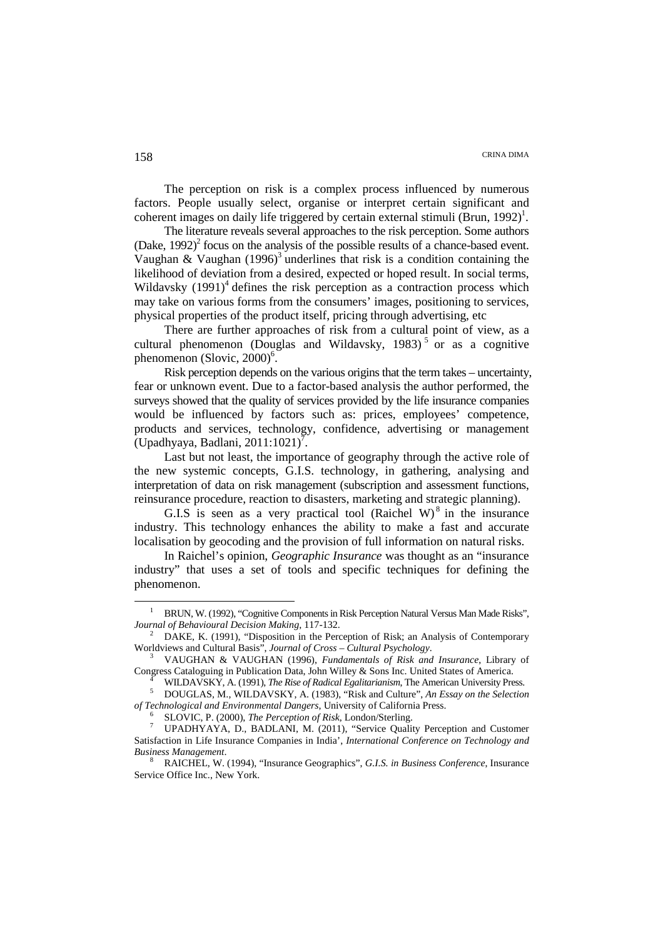The perception on risk is a complex process influenced by numerous factors. People usually select, organise or interpret certain significant and coherent images on daily life triggered by certain external stimuli (Brun, 1992)<sup>1</sup>.

The literature reveals several approaches to the risk perception. Some authors (Dake,  $1992$ )<sup>2</sup> focus on the analysis of the possible results of a chance-based event. Vaughan & Vaughan  $(1996)^3$  underlines that risk is a condition containing the likelihood of deviation from a desired, expected or hoped result. In social terms, Wildavsky  $(1991)^4$  defines the risk perception as a contraction process which may take on various forms from the consumers' images, positioning to services, physical properties of the product itself, pricing through advertising, etc

There are further approaches of risk from a cultural point of view, as a cultural phenomenon (Douglas and Wildavsky, 1983)<sup>5</sup> or as a cognitive phenomenon (Slovic, 2000)<sup>6</sup>.

Risk perception depends on the various origins that the term takes – uncertainty, fear or unknown event. Due to a factor-based analysis the author performed, the surveys showed that the quality of services provided by the life insurance companies would be influenced by factors such as: prices, employees' competence, products and services, technology, confidence, advertising or management  $\left(\text{Upadhyaya}, \text{Badlani}, 2011:1021\right)^7$ .

Last but not least, the importance of geography through the active role of the new systemic concepts, G.I.S. technology, in gathering, analysing and interpretation of data on risk management (subscription and assessment functions, reinsurance procedure, reaction to disasters, marketing and strategic planning).

G.I.S is seen as a very practical tool (Raichel W) $8$  in the insurance industry. This technology enhances the ability to make a fast and accurate localisation by geocoding and the provision of full information on natural risks.

In Raichel's opinion, *Geographic Insurance* was thought as an "insurance industry" that uses a set of tools and specific techniques for defining the phenomenon.

 $\overline{a}$ 

<sup>&</sup>lt;sup>1</sup> BRUN, W. (1992), "Cognitive Components in Risk Perception Natural Versus Man Made Risks", *Journal of Behavioural Decision Making*, 117-132.

<sup>&</sup>lt;sup>2</sup> DAKE, K. (1991), "Disposition in the Perception of Risk; an Analysis of Contemporary Worldviews and Cultural Basis", *Journal of Cross – Cultural Psychology*.

<sup>3</sup> VAUGHAN & VAUGHAN (1996), *Fundamentals of Risk and Insurance*, Library of Congress Cataloguing in Publication Data, John Willey & Sons Inc. United States of America.

<sup>4</sup> WILDAVSKY, A. (1991), *The Rise of Radical Egalitarianism*, The American University Press. 5

DOUGLAS, M., WILDAVSKY, A. (1983), "Risk and Culture", *An Essay on the Selection of Technological and Environmental Dangers*, University of California Press.

<sup>6</sup> SLOVIC, P. (2000), *The Perception of Risk*, London/Sterling.

<sup>7</sup> UPADHYAYA, D., BADLANI, M. (2011), "Service Quality Perception and Customer Satisfaction in Life Insurance Companies in India', *International Conference on Technology and Business Management*.

<sup>8</sup> RAICHEL, W. (1994), "Insurance Geographics", *G.I.S. in Business Conference*, Insurance Service Office Inc., New York.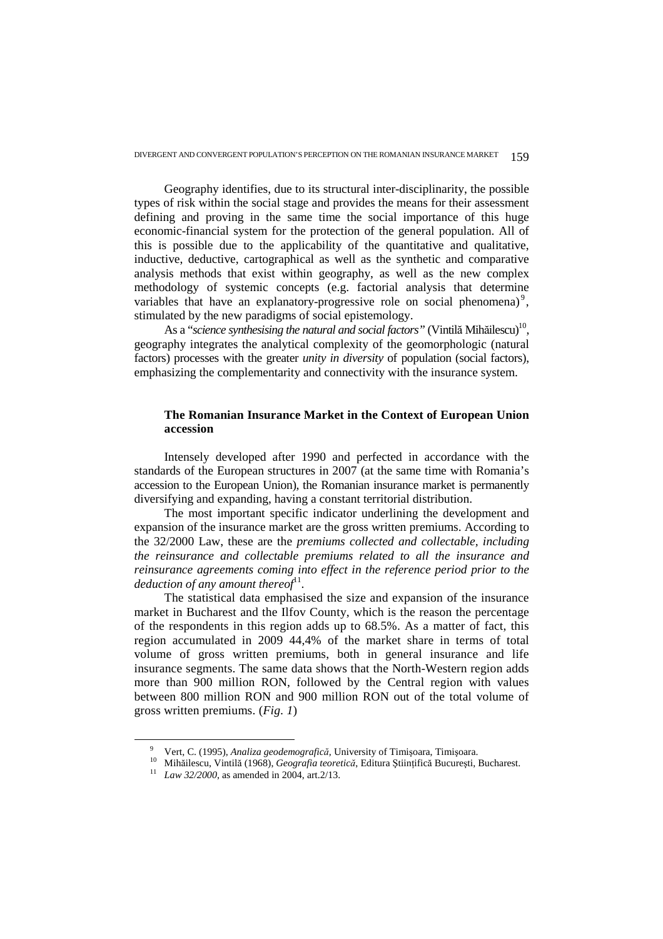Geography identifies, due to its structural inter-disciplinarity, the possible types of risk within the social stage and provides the means for their assessment defining and proving in the same time the social importance of this huge economic-financial system for the protection of the general population. All of this is possible due to the applicability of the quantitative and qualitative, inductive, deductive, cartographical as well as the synthetic and comparative analysis methods that exist within geography, as well as the new complex methodology of systemic concepts (e.g. factorial analysis that determine variables that have an explanatory-progressive role on social phenomena)<sup>9</sup>, stimulated by the new paradigms of social epistemology.

As a "*science synthesising the natural and social factors*" (Vintilă Mihăilescu)<sup>10</sup>, geography integrates the analytical complexity of the geomorphologic (natural factors) processes with the greater *unity in diversity* of population (social factors), emphasizing the complementarity and connectivity with the insurance system.

## **The Romanian Insurance Market in the Context of European Union accession**

Intensely developed after 1990 and perfected in accordance with the standards of the European structures in 2007 (at the same time with Romania's accession to the European Union), the Romanian insurance market is permanently diversifying and expanding, having a constant territorial distribution.

The most important specific indicator underlining the development and expansion of the insurance market are the gross written premiums. According to the 32/2000 Law, these are the *premiums collected and collectable, including the reinsurance and collectable premiums related to all the insurance and reinsurance agreements coming into effect in the reference period prior to the*  deduction of any amount thereof<sup>11</sup>.

The statistical data emphasised the size and expansion of the insurance market in Bucharest and the Ilfov County, which is the reason the percentage of the respondents in this region adds up to 68.5%. As a matter of fact, this region accumulated in 2009 44,4% of the market share in terms of total volume of gross written premiums, both in general insurance and life insurance segments. The same data shows that the North-Western region adds more than 900 million RON, followed by the Central region with values between 800 million RON and 900 million RON out of the total volume of gross written premiums. (*Fig. 1*)

 $\overline{a}$ 

<sup>9</sup> Vert, C. (1995), *Analiza geodemografică,* University of Timişoara, Timişoara.

<sup>10</sup> Mihăilescu, Vintilă (1968), *Geografia teoretică*, Editura Ştiinţifică Bucureşti, Bucharest.

<sup>11</sup> *Law 32/2000*, as amended in 2004, art.2/13.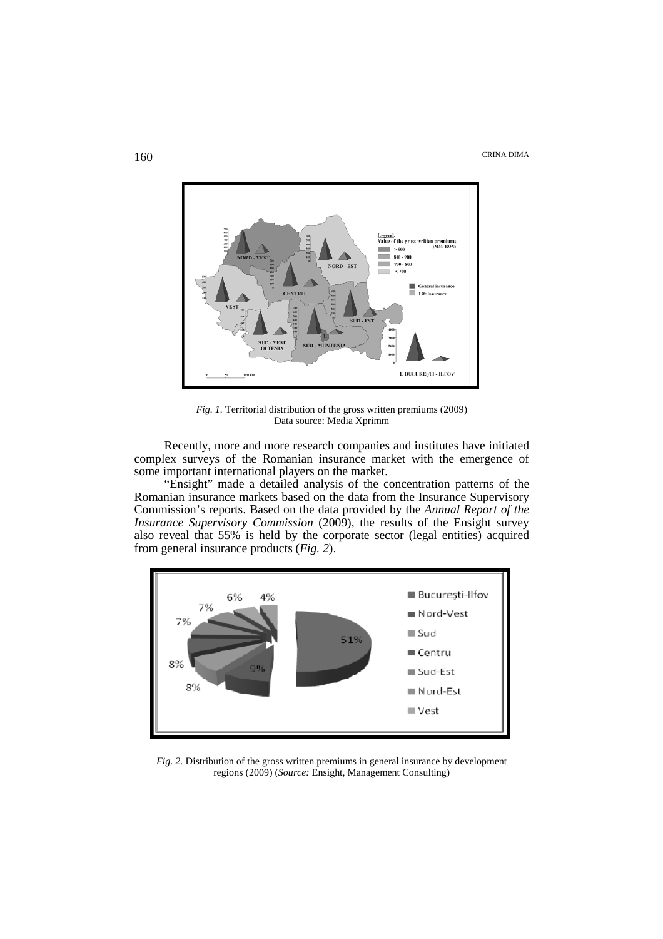THE CRINA DIMA CRINA DIMA



*Fig. 1.* Territorial distribution of the gross written premiums (2009) Data source: Media Xprimm

Recently, more and more research companies and institutes have initiated complex surveys of the Romanian insurance market with the emergence of some important international players on the market.

"Ensight" made a detailed analysis of the concentration patterns of the Romanian insurance markets based on the data from the Insurance Supervisory Commission's reports. Based on the data provided by the *Annual Report of the Insurance Supervisory Commission* (2009), the results of the Ensight survey also reveal that 55% is held by the corporate sector (legal entities) acquired from general insurance products (*Fig. 2*).



*Fig. 2.* Distribution of the gross written premiums in general insurance by development regions (2009) (*Source:* Ensight, Management Consulting)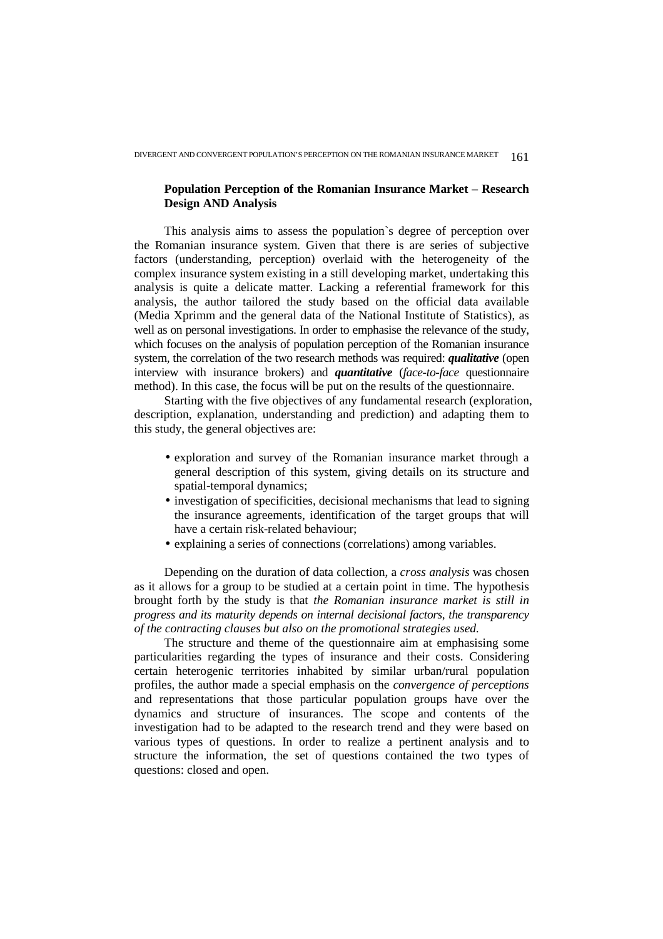## **Population Perception of the Romanian Insurance Market – Research Design AND Analysis**

This analysis aims to assess the population`s degree of perception over the Romanian insurance system. Given that there is are series of subjective factors (understanding, perception) overlaid with the heterogeneity of the complex insurance system existing in a still developing market, undertaking this analysis is quite a delicate matter. Lacking a referential framework for this analysis, the author tailored the study based on the official data available (Media Xprimm and the general data of the National Institute of Statistics), as well as on personal investigations. In order to emphasise the relevance of the study, which focuses on the analysis of population perception of the Romanian insurance system, the correlation of the two research methods was required: *qualitative* (open interview with insurance brokers) and *quantitative* (*face-to-face* questionnaire method). In this case, the focus will be put on the results of the questionnaire.

Starting with the five objectives of any fundamental research (exploration, description, explanation, understanding and prediction) and adapting them to this study, the general objectives are:

- exploration and survey of the Romanian insurance market through a general description of this system, giving details on its structure and spatial-temporal dynamics;
- investigation of specificities, decisional mechanisms that lead to signing the insurance agreements, identification of the target groups that will have a certain risk-related behaviour;
- explaining a series of connections (correlations) among variables.

Depending on the duration of data collection, a *cross analysis* was chosen as it allows for a group to be studied at a certain point in time. The hypothesis brought forth by the study is that *the Romanian insurance market is still in progress and its maturity depends on internal decisional factors, the transparency of the contracting clauses but also on the promotional strategies used.* 

The structure and theme of the questionnaire aim at emphasising some particularities regarding the types of insurance and their costs. Considering certain heterogenic territories inhabited by similar urban/rural population profiles, the author made a special emphasis on the *convergence of perceptions* and representations that those particular population groups have over the dynamics and structure of insurances. The scope and contents of the investigation had to be adapted to the research trend and they were based on various types of questions. In order to realize a pertinent analysis and to structure the information, the set of questions contained the two types of questions: closed and open.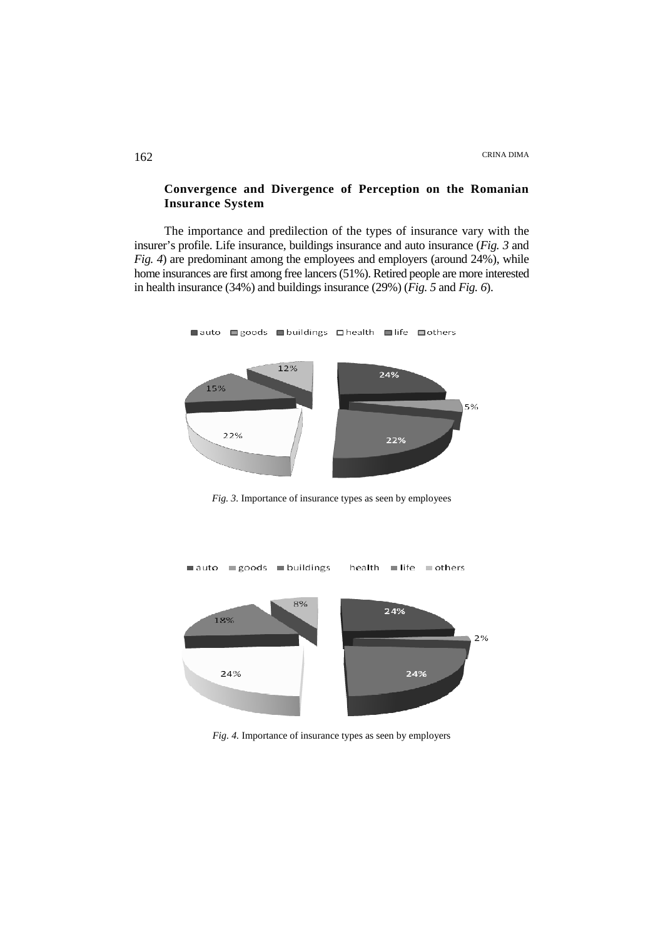## **Convergence and Divergence of Perception on the Romanian Insurance System**

The importance and predilection of the types of insurance vary with the insurer's profile. Life insurance, buildings insurance and auto insurance (*Fig. 3* and *Fig. 4*) are predominant among the employees and employers (around 24%), while home insurances are first among free lancers (51%). Retired people are more interested in health insurance (34%) and buildings insurance (29%) (*Fig. 5* and *Fig. 6*).

**■auto** ■goods ■buildings □ health ■ life ■ others



*Fig. 3.* Importance of insurance types as seen by employees



*Fig. 4.* Importance of insurance types as seen by employers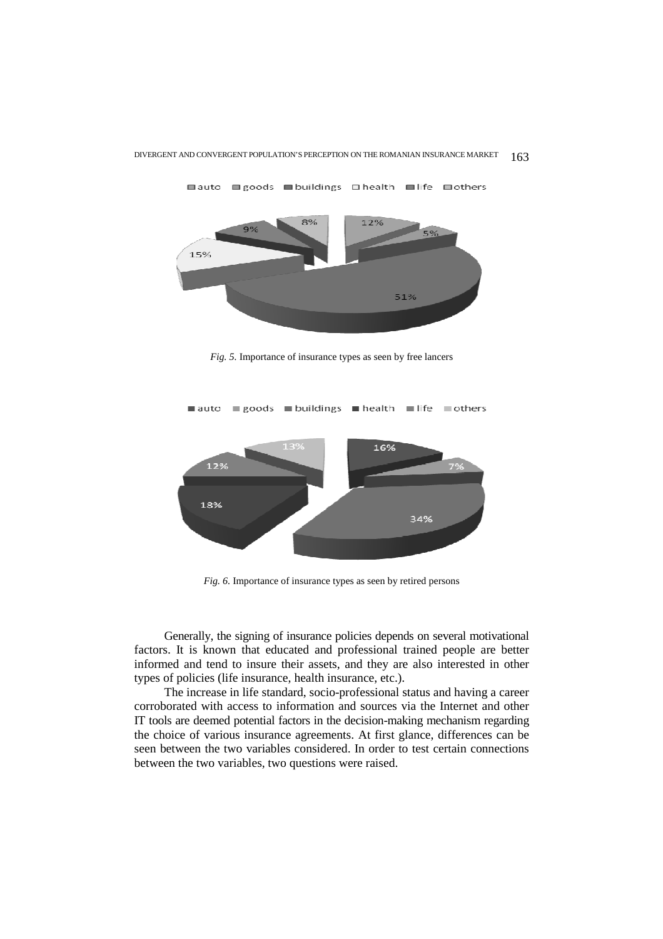

**■auto** ■ goods ■ buildings **■** health ■ life ■ others

*Fig. 5.* Importance of insurance types as seen by free lancers



*Fig. 6.* Importance of insurance types as seen by retired persons

Generally, the signing of insurance policies depends on several motivational factors. It is known that educated and professional trained people are better informed and tend to insure their assets, and they are also interested in other types of policies (life insurance, health insurance, etc.).

The increase in life standard, socio-professional status and having a career corroborated with access to information and sources via the Internet and other IT tools are deemed potential factors in the decision-making mechanism regarding the choice of various insurance agreements. At first glance, differences can be seen between the two variables considered. In order to test certain connections between the two variables, two questions were raised.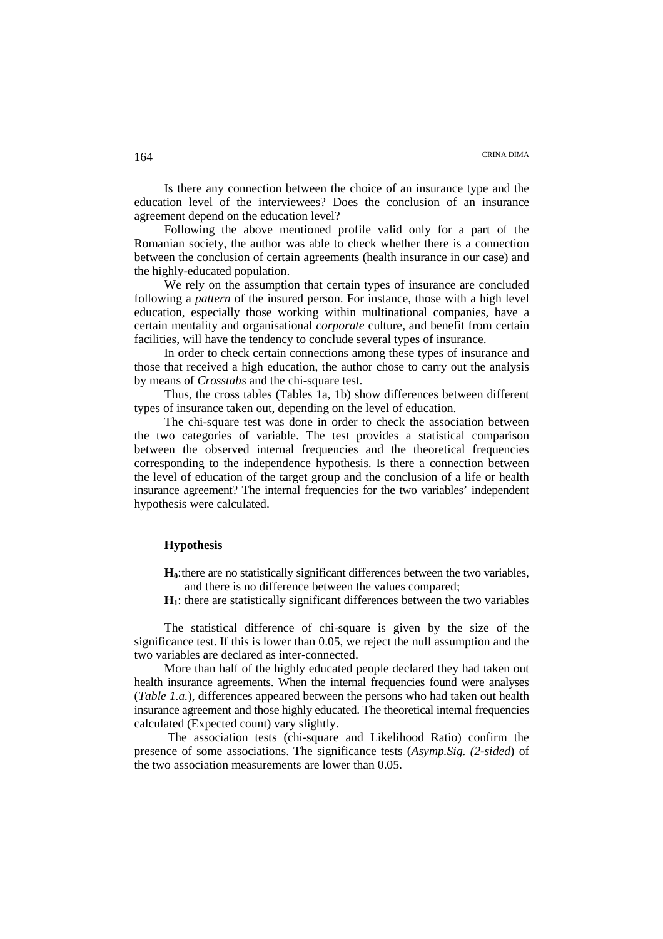Is there any connection between the choice of an insurance type and the education level of the interviewees? Does the conclusion of an insurance agreement depend on the education level?

Following the above mentioned profile valid only for a part of the Romanian society, the author was able to check whether there is a connection between the conclusion of certain agreements (health insurance in our case) and the highly-educated population.

We rely on the assumption that certain types of insurance are concluded following a *pattern* of the insured person. For instance, those with a high level education, especially those working within multinational companies, have a certain mentality and organisational *corporate* culture, and benefit from certain facilities, will have the tendency to conclude several types of insurance.

In order to check certain connections among these types of insurance and those that received a high education, the author chose to carry out the analysis by means of *Crosstabs* and the chi-square test.

Thus, the cross tables (Tables 1a, 1b) show differences between different types of insurance taken out, depending on the level of education.

The chi-square test was done in order to check the association between the two categories of variable. The test provides a statistical comparison between the observed internal frequencies and the theoretical frequencies corresponding to the independence hypothesis. Is there a connection between the level of education of the target group and the conclusion of a life or health insurance agreement? The internal frequencies for the two variables' independent hypothesis were calculated.

### **Hypothesis**

**H0**: there are no statistically significant differences between the two variables, and there is no difference between the values compared;

**H1**: there are statistically significant differences between the two variables

The statistical difference of chi-square is given by the size of the significance test. If this is lower than 0.05, we reject the null assumption and the two variables are declared as inter-connected.

More than half of the highly educated people declared they had taken out health insurance agreements. When the internal frequencies found were analyses (*Table 1.a.*), differences appeared between the persons who had taken out health insurance agreement and those highly educated. The theoretical internal frequencies calculated (Expected count) vary slightly.

The association tests (chi-square and Likelihood Ratio) confirm the presence of some associations. The significance tests (*Asymp.Sig. (2-sided*) of the two association measurements are lower than 0.05.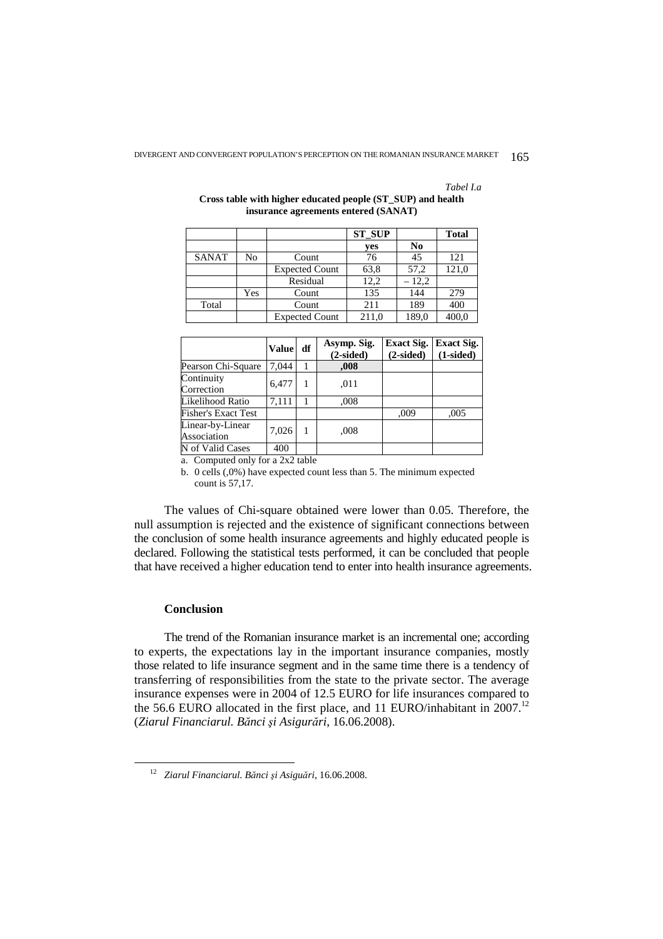*Tabel I.a* 

|              |     |                       | <b>ST SUP</b> |         | <b>Total</b> |
|--------------|-----|-----------------------|---------------|---------|--------------|
|              |     |                       | yes           | No      |              |
| <b>SANAT</b> | No  | Count                 | 76            | 45      | 121          |
|              |     | <b>Expected Count</b> | 63,8          | 57,2    | 121,0        |
|              |     | Residual              | 12,2          | $-12,2$ |              |
|              | Yes | Count                 | 135           | 144     | 279          |
| Total        |     | Count                 | 211           | 189     | 400          |
|              |     | <b>Expected Count</b> | 211,0         | 189,0   | 400,0        |

### **Cross table with higher educated people (ST\_SUP) and health insurance agreements entered (SANAT)**

|                                 | <b>Value</b> | df | Asymp. Sig.<br>$(2-sided)$ | <b>Exact Sig.</b><br>$(2-sided)$ | <b>Exact Sig.</b><br>$(1-sided)$ |
|---------------------------------|--------------|----|----------------------------|----------------------------------|----------------------------------|
| Pearson Chi-Square              | 7.044        |    | ,008                       |                                  |                                  |
| Continuity<br>Correction        | 6,477        |    | .011                       |                                  |                                  |
| Likelihood Ratio                | 7.111        |    | .008                       |                                  |                                  |
| <b>Fisher's Exact Test</b>      |              |    |                            | ,009                             | ,005                             |
| Linear-by-Linear<br>Association | 7,026        |    | .008                       |                                  |                                  |
| N of Valid Cases                | 400          |    |                            |                                  |                                  |

a. Computed only for a 2x2 table

b. 0 cells (,0%) have expected count less than 5. The minimum expected count is 57,17.

The values of Chi-square obtained were lower than 0.05. Therefore, the null assumption is rejected and the existence of significant connections between the conclusion of some health insurance agreements and highly educated people is declared. Following the statistical tests performed, it can be concluded that people that have received a higher education tend to enter into health insurance agreements.

# **Conclusion**

 $\overline{a}$ 

The trend of the Romanian insurance market is an incremental one; according to experts, the expectations lay in the important insurance companies, mostly those related to life insurance segment and in the same time there is a tendency of transferring of responsibilities from the state to the private sector. The average insurance expenses were in 2004 of 12.5 EURO for life insurances compared to the 56.6 EURO allocated in the first place, and 11 EURO/inhabitant in  $2007$ .<sup>12</sup> (*Ziarul Financiarul. Bănci şi Asigurări*, 16.06.2008).

<sup>12</sup> *Ziarul Financiarul. Bănci şi Asiguări*, 16.06.2008.